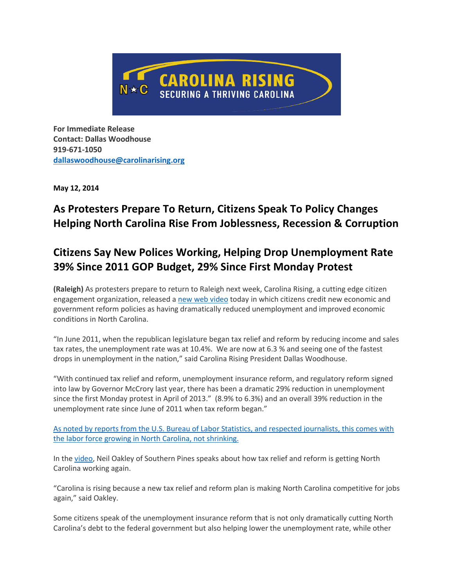

**For Immediate Release Contact: Dallas Woodhouse 919-671-1050 [dallaswoodhouse@carolinarising.org](mailto:dallaswoodhouse@carolinarising.org)**

**May 12, 2014**

# **As Protesters Prepare To Return, Citizens Speak To Policy Changes Helping North Carolina Rise From Joblessness, Recession & Corruption**

# **Citizens Say New Polices Working, Helping Drop Unemployment Rate 39% Since 2011 GOP Budget, 29% Since First Monday Protest**

**(Raleigh)** As protesters prepare to return to Raleigh next week, Carolina Rising, a cutting edge citizen engagement organization, released a [new web video](http://youtu.be/dIVF-34i1u8) today in which citizens credit new economic and government reform policies as having dramatically reduced unemployment and improved economic conditions in North Carolina.

"In June 2011, when the republican legislature began tax relief and reform by reducing income and sales tax rates, the unemployment rate was at 10.4%. We are now at 6.3 % and seeing one of the fastest drops in unemployment in the nation," said Carolina Rising President Dallas Woodhouse.

"With continued tax relief and reform, unemployment insurance reform, and regulatory reform signed into law by Governor McCrory last year, there has been a dramatic 29% reduction in unemployment since the first Monday protest in April of 2013." (8.9% to 6.3%) and an overall 39% reduction in the unemployment rate since June of 2011 when tax reform began."

[As noted by reports from the U.S. Bureau of Labor Statistics, and respected journalists, this comes with](http://www.carolinajournal.com/daily_journal/index.html)  [the labor force growing in North Carolina, not shrinking.](http://www.carolinajournal.com/daily_journal/index.html)

In th[e video,](http://youtu.be/dIVF-34i1u8) Neil Oakley of Southern Pines speaks about how tax relief and reform is getting North Carolina working again.

"Carolina is rising because a new tax relief and reform plan is making North Carolina competitive for jobs again," said Oakley.

Some citizens speak of the unemployment insurance reform that is not only dramatically cutting North Carolina's debt to the federal government but also helping lower the unemployment rate, while other